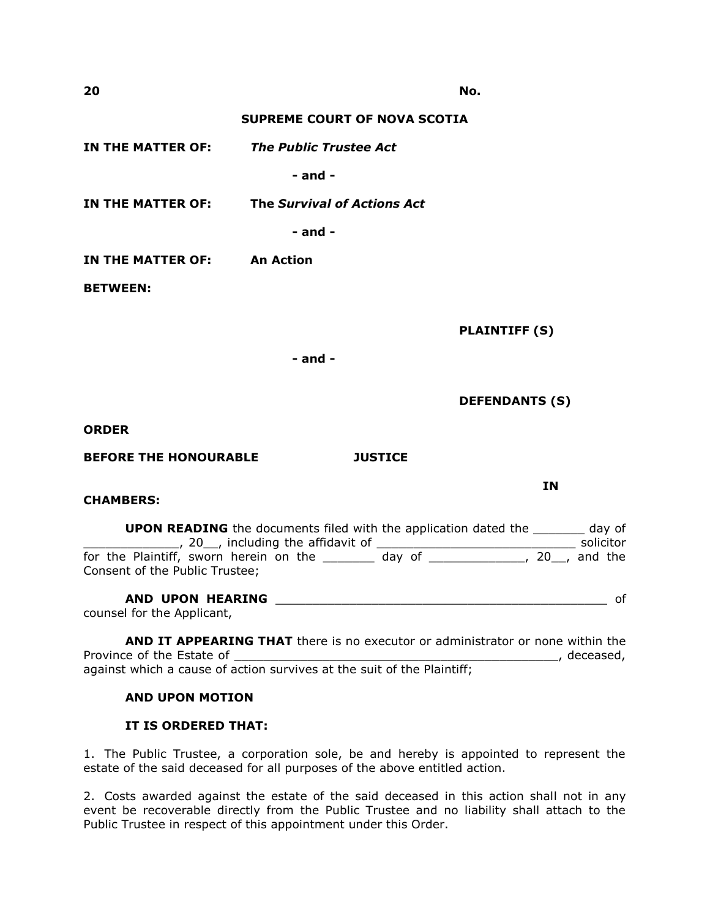**20 No.**

## **SUPREME COURT OF NOVA SCOTIA**

**IN THE MATTER OF:** *The Public Trustee Act*

**- and -**

**IN THE MATTER OF: The** *Survival of Actions Act*

**- and -**

**IN THE MATTER OF: An Action** 

**BETWEEN:**

**PLAINTIFF (S)**

**- and -**

**DEFENDANTS (S)**

**ORDER**

**BEFORE THE HONOURABLE JUSTICE**

**CHAMBERS:**

**UPON READING** the documents filed with the application dated the \_\_\_\_\_\_\_\_ day of \_\_\_\_\_\_\_\_\_\_\_\_\_, 20\_\_, including the affidavit of \_\_\_\_\_\_\_\_\_\_\_\_\_\_\_\_\_\_\_\_\_\_\_\_\_\_\_ solicitor for the Plaintiff, sworn herein on the \_\_\_\_\_\_\_\_ day of \_\_\_\_\_\_\_\_\_\_\_\_\_\_, 20\_\_, and the Consent of the Public Trustee;

**AND UPON HEARING** \_\_\_\_\_\_\_\_\_\_\_\_\_\_\_\_\_\_\_\_\_\_\_\_\_\_\_\_\_\_\_\_\_\_\_\_\_\_\_\_\_\_\_\_\_ of counsel for the Applicant,

**AND IT APPEARING THAT** there is no executor or administrator or none within the Province of the Estate of \_\_\_\_\_\_\_\_\_\_\_\_\_\_\_\_\_\_\_\_\_\_\_\_\_\_\_\_\_\_\_\_\_\_\_\_\_\_\_\_\_\_\_\_, deceased, against which a cause of action survives at the suit of the Plaintiff;

## **AND UPON MOTION**

## **IT IS ORDERED THAT:**

1. The Public Trustee, a corporation sole, be and hereby is appointed to represent the estate of the said deceased for all purposes of the above entitled action.

2. Costs awarded against the estate of the said deceased in this action shall not in any event be recoverable directly from the Public Trustee and no liability shall attach to the Public Trustee in respect of this appointment under this Order.

**IN**